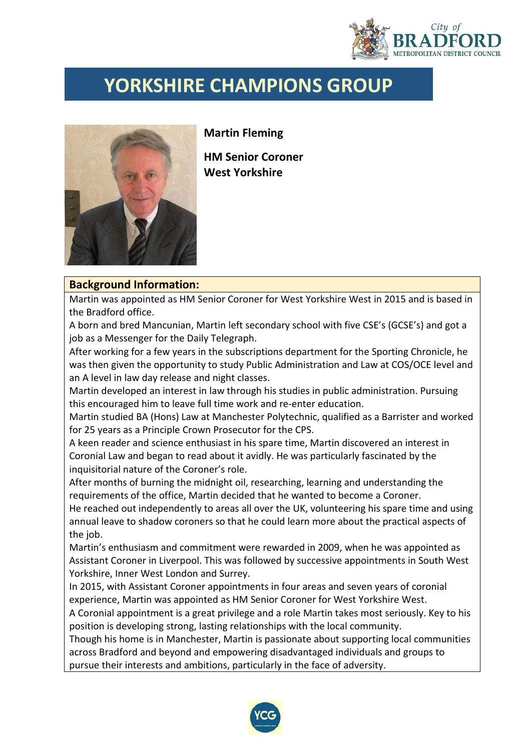

## **YORKSHIRE CHAMPIONS GROUP**



**Martin Fleming** 

**HM Senior Coroner West Yorkshire** 

## **Background Information:**

Martin was appointed as HM Senior Coroner for West Yorkshire West in 2015 and is based in the Bradford office.

A born and bred Mancunian, Martin left secondary school with five CSE's (GCSE's) and got a job as a Messenger for the Daily Telegraph.

After working for a few years in the subscriptions department for the Sporting Chronicle, he was then given the opportunity to study Public Administration and Law at COS/OCE level and an A level in law day release and night classes.

Martin developed an interest in law through his studies in public administration. Pursuing this encouraged him to leave full time work and re-enter education.

Martin studied BA (Hons) Law at Manchester Polytechnic, qualified as a Barrister and worked for 25 years as a Principle Crown Prosecutor for the CPS.

A keen reader and science enthusiast in his spare time, Martin discovered an interest in Coronial Law and began to read about it avidly. He was particularly fascinated by the inquisitorial nature of the Coroner's role.

After months of burning the midnight oil, researching, learning and understanding the requirements of the office, Martin decided that he wanted to become a Coroner.

He reached out independently to areas all over the UK, volunteering his spare time and using annual leave to shadow coroners so that he could learn more about the practical aspects of the job.

Martin's enthusiasm and commitment were rewarded in 2009, when he was appointed as Assistant Coroner in Liverpool. This was followed by successive appointments in South West Yorkshire, Inner West London and Surrey.

In 2015, with Assistant Coroner appointments in four areas and seven years of coronial experience, Martin was appointed as HM Senior Coroner for West Yorkshire West.

A Coronial appointment is a great privilege and a role Martin takes most seriously. Key to his position is developing strong, lasting relationships with the local community.

Though his home is in Manchester, Martin is passionate about supporting local communities across Bradford and beyond and empowering disadvantaged individuals and groups to pursue their interests and ambitions, particularly in the face of adversity.